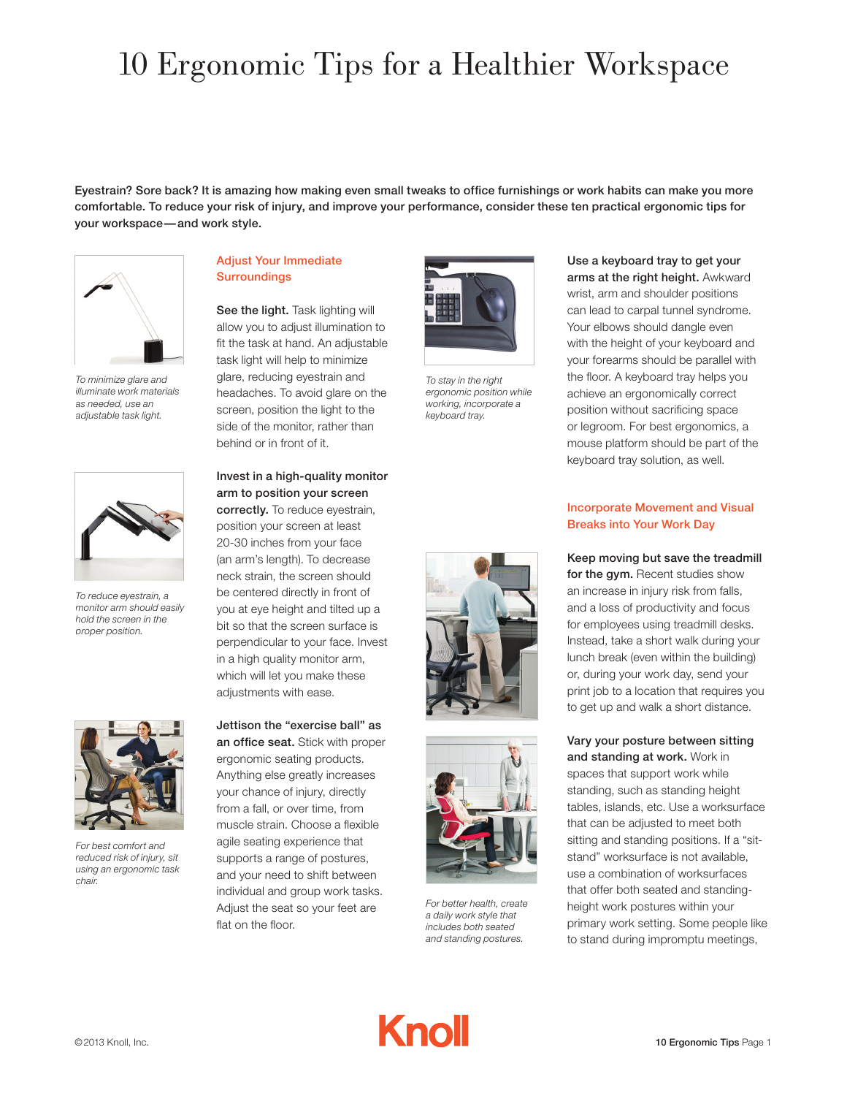# 10 Ergonomic Tips for a Healthier Workspace

Eyestrain? Sore back? It is amazing how making even small tweaks to office furnishings or work habits can make you more comfortable. To reduce your risk of injury, and improve your performance, consider these ten practical ergonomic tips for your workspace—and work style.



*To minimize glare and illuminate work materials as needed, use an adjustable task light.*



*To reduce eyestrain, a monitor arm should easily hold the screen in the proper position.*



*For best comfort and reduced risk of injury, sit using an ergonomic task chair.* 

## Adjust Your Immediate **Surroundings**

See the light. Task lighting will allow you to adjust illumination to fit the task at hand. An adjustable task light will help to minimize glare, reducing eyestrain and headaches. To avoid glare on the screen, position the light to the side of the monitor, rather than behind or in front of it.

Invest in a high-quality monitor arm to position your screen correctly. To reduce eyestrain, position your screen at least 20-30 inches from your face (an arm's length). To decrease neck strain, the screen should be centered directly in front of you at eye height and tilted up a bit so that the screen surface is perpendicular to your face. Invest in a high quality monitor arm, which will let you make these adjustments with ease.

Jettison the "exercise ball" as an office seat. Stick with proper ergonomic seating products. Anything else greatly increases your chance of injury, directly from a fall, or over time, from muscle strain. Choose a flexible agile seating experience that supports a range of postures, and your need to shift between individual and group work tasks. Adjust the seat so your feet are flat on the floor.



*To stay in the right ergonomic position while working, incorporate a keyboard tray.*





*For better health, create a daily work style that includes both seated and standing postures.*



### Incorporate Movement and Visual Breaks into Your Work Day

Keep moving but save the treadmill for the avm. Recent studies show an increase in injury risk from falls, and a loss of productivity and focus for employees using treadmill desks. Instead, take a short walk during your lunch break (even within the building) or, during your work day, send your print job to a location that requires you to get up and walk a short distance.

Vary your posture between sitting and standing at work. Work in spaces that support work while standing, such as standing height tables, islands, etc. Use a worksurface that can be adjusted to meet both sitting and standing positions. If a "sitstand" worksurface is not available, use a combination of worksurfaces that offer both seated and standingheight work postures within your primary work setting. Some people like to stand during impromptu meetings,